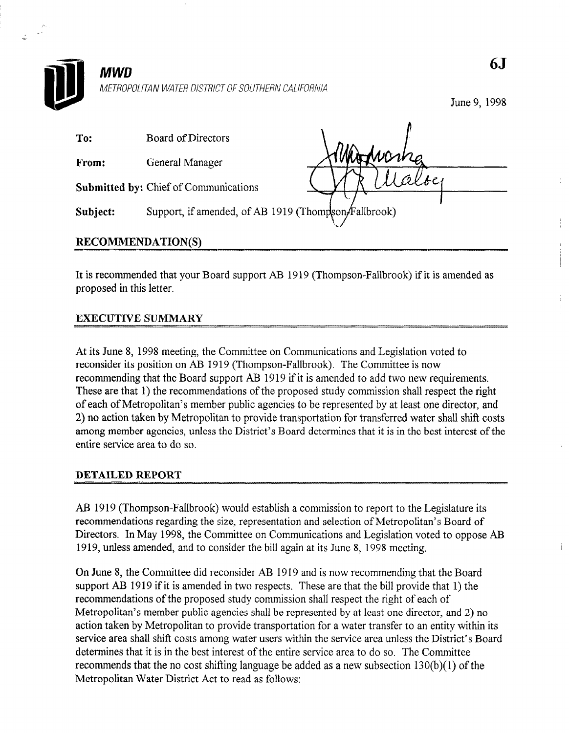

## **MWD**

METROPOLITAN WATER DISTRICT OF SOUTHERN CALIFORNIA

June 9, 1998

| To:               | Board of Directors                                   |        |
|-------------------|------------------------------------------------------|--------|
| From:             | General Manager                                      | Juano. |
|                   | <b>Submitted by: Chief of Communications</b>         |        |
| Subject:          | Support, if amended, of AB 1919 (Thompson/Fallbrook) |        |
| RECOMMENDATION(S) |                                                      |        |

It is recommended that your Board support AB 1919 (Thompson-Fallbrook) if it is amended as proposed in this letter.

## EXECUTIVE SUMMARY

At its June 8, 1998 meeting, the Committee on Communications and Legislation voted to reconsider its position on AB 1919 (Thompson-Fallbrook). The Committee is now recommending the Board support The Board support AB 1919 in the Commence is now  $T_{\text{tot}}$  are the proposed support  $\Delta D$  1) the respective to and two new requirements. These are that 1) the recommendations of the proposed study commission shall respect the right of each of Metropolitan's member public agencies to be represented by at least one director, and 2) no action taken by Metropolitan to provide transportation for transferred water shall shift costs among member agencies, unless the District's Board determines that it is in the best interest of the entire service area to do so.

AB 1919 (Thompson-Fallbrook) would establish a commission to report to the Legislature its recommendations regarding the size, representation and selection of Metropolitan's Board of Directors. In May 1998, the Committee on Communications and Legislation voted to oppose AB 1919, unless amended, and to consider the bill again at its June 8, 1998 meeting.

On June 8, the Committee did reconsider AB 1919 and is now recommending that the Board support AB 1919 if it is amended in two respects. These are that the bill provide that 1) the recommendations of the proposed study commission shall respect the right of each of Metropolitan's member public agencies shall be represented by at least one director, and 2) no action taken by Metropolitan to provide transportation for a water transfer to an entity within its service area shall shift costs among water users within the service area unless the District's Board determines that it is in the best interest of the entire service area to do so. The Committee recommends that the no cost shifting language be added as a new subsection  $130(b)(1)$  of the Metropolitan Water District Act to read as follows:

65